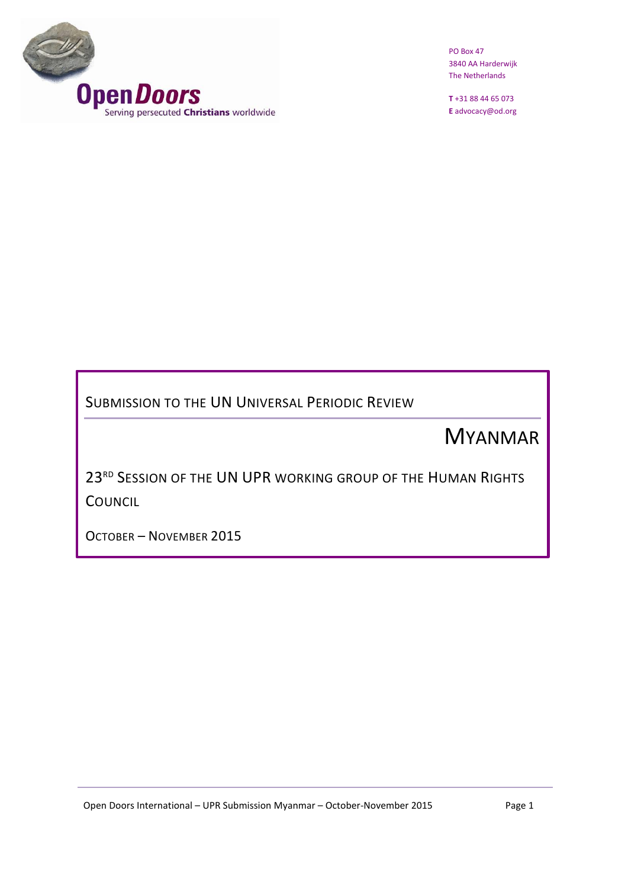

PO Box 47 3840 AA Harderwijk The Netherlands

**T** +31 88 44 65 073 **E** advocacy@od.org

SUBMISSION TO THE UN UNIVERSAL PERIODIC REVIEW

# **MYANMAR**

23RD SESSION OF THE UN UPR WORKING GROUP OF THE HUMAN RIGHTS **COUNCIL** 

OCTOBER – NOVEMBER 2015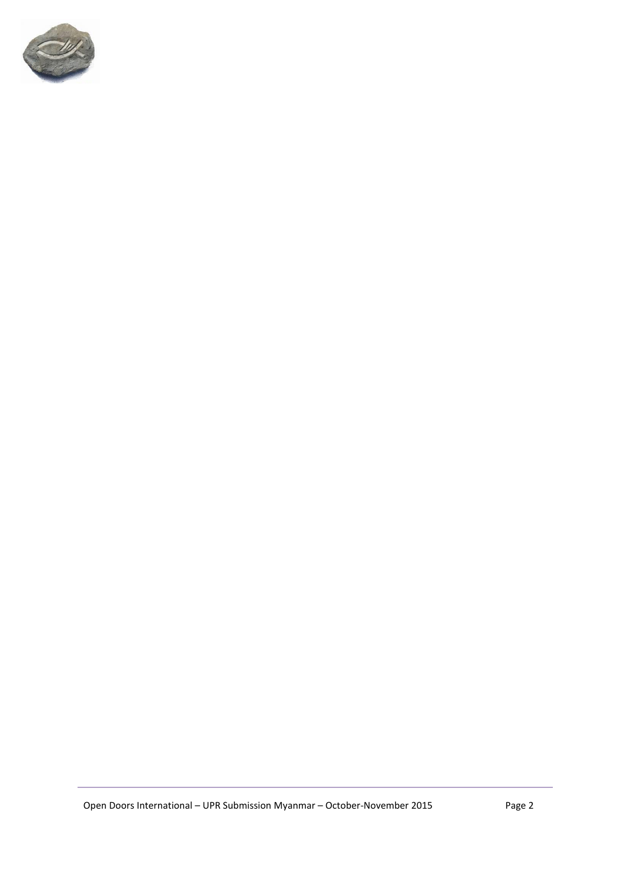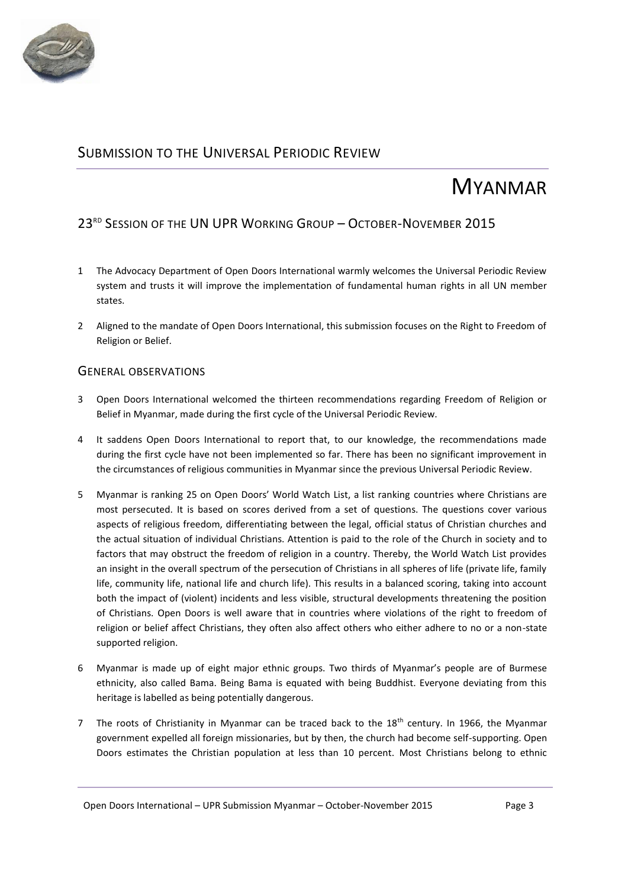

## SUBMISSION TO THE UNIVERSAL PERIODIC REVIEW

# **MYANMAR**

### 23RD SESSION OF THE UN UPR WORKING GROUP - OCTOBER-NOVEMBER 2015

- 1 The Advocacy Department of Open Doors International warmly welcomes the Universal Periodic Review system and trusts it will improve the implementation of fundamental human rights in all UN member states.
- 2 Aligned to the mandate of Open Doors International, this submission focuses on the Right to Freedom of Religion or Belief.

#### GENERAL OBSERVATIONS

- 3 Open Doors International welcomed the thirteen recommendations regarding Freedom of Religion or Belief in Myanmar, made during the first cycle of the Universal Periodic Review.
- 4 It saddens Open Doors International to report that, to our knowledge, the recommendations made during the first cycle have not been implemented so far. There has been no significant improvement in the circumstances of religious communities in Myanmar since the previous Universal Periodic Review.
- 5 Myanmar is ranking 25 on Open Doors' World Watch List, a list ranking countries where Christians are most persecuted. It is based on scores derived from a set of questions. The questions cover various aspects of religious freedom, differentiating between the legal, official status of Christian churches and the actual situation of individual Christians. Attention is paid to the role of the Church in society and to factors that may obstruct the freedom of religion in a country. Thereby, the World Watch List provides an insight in the overall spectrum of the persecution of Christians in all spheres of life (private life, family life, community life, national life and church life). This results in a balanced scoring, taking into account both the impact of (violent) incidents and less visible, structural developments threatening the position of Christians. Open Doors is well aware that in countries where violations of the right to freedom of religion or belief affect Christians, they often also affect others who either adhere to no or a non-state supported religion.
- 6 Myanmar is made up of eight major ethnic groups. Two thirds of Myanmar's people are of Burmese ethnicity, also called Bama. Being Bama is equated with being Buddhist. Everyone deviating from this heritage is labelled as being potentially dangerous.
- 7 The roots of Christianity in Myanmar can be traced back to the 18<sup>th</sup> century. In 1966, the Myanmar government expelled all foreign missionaries, but by then, the church had become self-supporting. Open Doors estimates the Christian population at less than 10 percent. Most Christians belong to ethnic

Open Doors International – UPR Submission Myanmar – October-November 2015 Page 3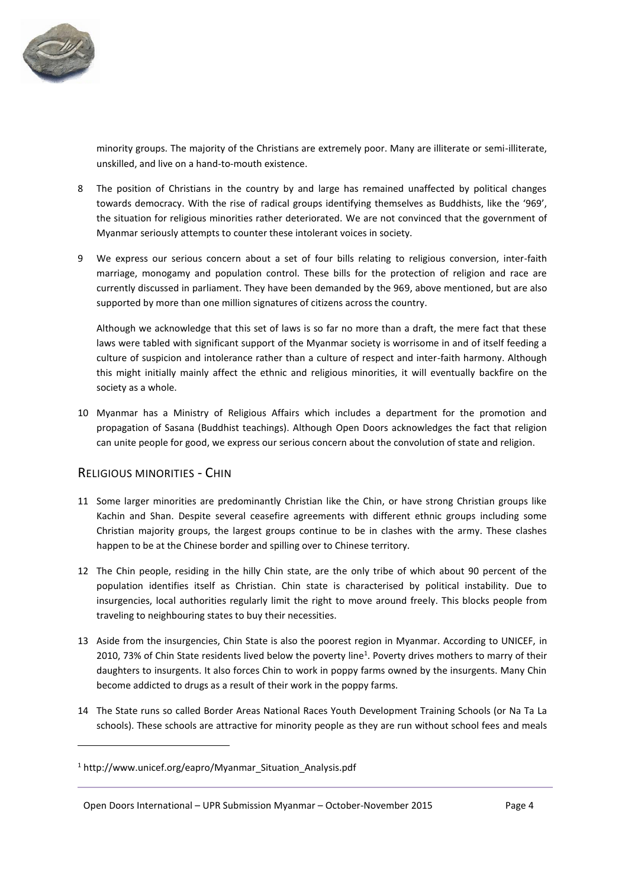

minority groups. The majority of the Christians are extremely poor. Many are illiterate or semi-illiterate, unskilled, and live on a hand-to-mouth existence.

- 8 The position of Christians in the country by and large has remained unaffected by political changes towards democracy. With the rise of radical groups identifying themselves as Buddhists, like the '969', the situation for religious minorities rather deteriorated. We are not convinced that the government of Myanmar seriously attempts to counter these intolerant voices in society.
- 9 We express our serious concern about a set of four bills relating to religious conversion, inter-faith marriage, monogamy and population control. These bills for the protection of religion and race are currently discussed in parliament. They have been demanded by the 969, above mentioned, but are also supported by more than one million signatures of citizens across the country.

Although we acknowledge that this set of laws is so far no more than a draft, the mere fact that these laws were tabled with significant support of the Myanmar society is worrisome in and of itself feeding a culture of suspicion and intolerance rather than a culture of respect and inter-faith harmony. Although this might initially mainly affect the ethnic and religious minorities, it will eventually backfire on the society as a whole.

10 Myanmar has a Ministry of Religious Affairs which includes a department for the promotion and propagation of Sasana (Buddhist teachings). Although Open Doors acknowledges the fact that religion can unite people for good, we express our serious concern about the convolution of state and religion.

#### RELIGIOUS MINORITIES - CHIN

 $\overline{a}$ 

- 11 Some larger minorities are predominantly Christian like the Chin, or have strong Christian groups like Kachin and Shan. Despite several ceasefire agreements with different ethnic groups including some Christian majority groups, the largest groups continue to be in clashes with the army. These clashes happen to be at the Chinese border and spilling over to Chinese territory.
- 12 The Chin people, residing in the hilly Chin state, are the only tribe of which about 90 percent of the population identifies itself as Christian. Chin state is characterised by political instability. Due to insurgencies, local authorities regularly limit the right to move around freely. This blocks people from traveling to neighbouring states to buy their necessities.
- 13 Aside from the insurgencies, Chin State is also the poorest region in Myanmar. According to UNICEF, in 2010, 73% of Chin State residents lived below the poverty line<sup>1</sup>. Poverty drives mothers to marry of their daughters to insurgents. It also forces Chin to work in poppy farms owned by the insurgents. Many Chin become addicted to drugs as a result of their work in the poppy farms.
- 14 The State runs so called Border Areas National Races Youth Development Training Schools (or Na Ta La schools). These schools are attractive for minority people as they are run without school fees and meals

<sup>1</sup> http://www.unicef.org/eapro/Myanmar\_Situation\_Analysis.pdf

Open Doors International – UPR Submission Myanmar – October-November 2015 Page 4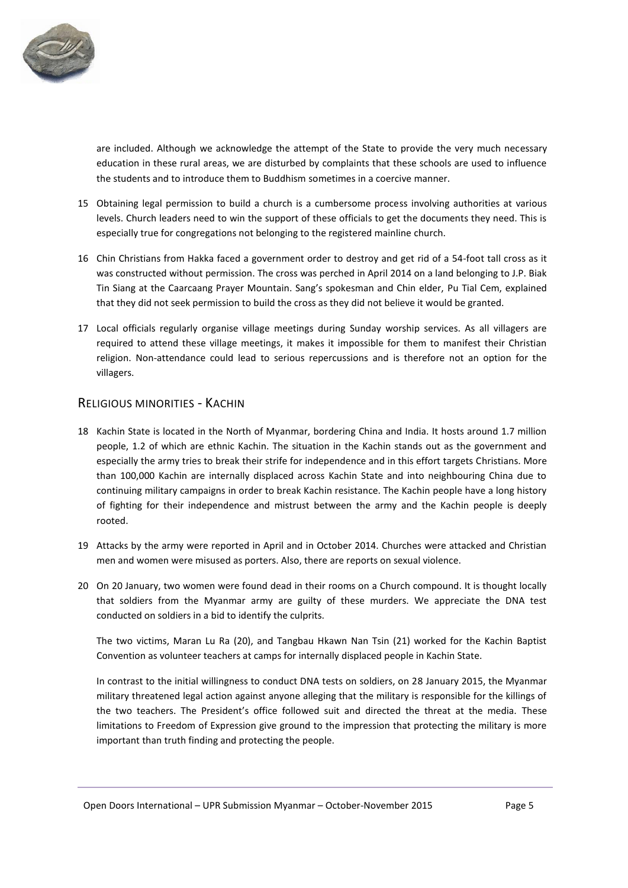

are included. Although we acknowledge the attempt of the State to provide the very much necessary education in these rural areas, we are disturbed by complaints that these schools are used to influence the students and to introduce them to Buddhism sometimes in a coercive manner.

- 15 Obtaining legal permission to build a church is a cumbersome process involving authorities at various levels. Church leaders need to win the support of these officials to get the documents they need. This is especially true for congregations not belonging to the registered mainline church.
- 16 Chin Christians from Hakka faced a government order to destroy and get rid of a 54-foot tall cross as it was constructed without permission. The cross was perched in April 2014 on a land belonging to J.P. Biak Tin Siang at the Caarcaang Prayer Mountain. Sang's spokesman and Chin elder, Pu Tial Cem, explained that they did not seek permission to build the cross as they did not believe it would be granted.
- 17 Local officials regularly organise village meetings during Sunday worship services. As all villagers are required to attend these village meetings, it makes it impossible for them to manifest their Christian religion. Non-attendance could lead to serious repercussions and is therefore not an option for the villagers.

#### RELIGIOUS MINORITIES - KACHIN

- 18 Kachin State is located in the North of Myanmar, bordering China and India. It hosts around 1.7 million people, 1.2 of which are ethnic Kachin. The situation in the Kachin stands out as the government and especially the army tries to break their strife for independence and in this effort targets Christians. More than 100,000 Kachin are internally displaced across Kachin State and into neighbouring China due to continuing military campaigns in order to break Kachin resistance. The Kachin people have a long history of fighting for their independence and mistrust between the army and the Kachin people is deeply rooted.
- 19 Attacks by the army were reported in April and in October 2014. Churches were attacked and Christian men and women were misused as porters. Also, there are reports on sexual violence.
- 20 On 20 January, two women were found dead in their rooms on a Church compound. It is thought locally that soldiers from the Myanmar army are guilty of these murders. We appreciate the DNA test conducted on soldiers in a bid to identify the culprits.

The two victims, Maran Lu Ra (20), and Tangbau Hkawn Nan Tsin (21) worked for the Kachin Baptist Convention as volunteer teachers at camps for internally displaced people in Kachin State.

In contrast to the initial willingness to conduct DNA tests on soldiers, on 28 January 2015, the Myanmar military threatened legal action against anyone alleging that the military is responsible for the killings of the two teachers. The President's office followed suit and directed the threat at the media. These limitations to Freedom of Expression give ground to the impression that protecting the military is more important than truth finding and protecting the people.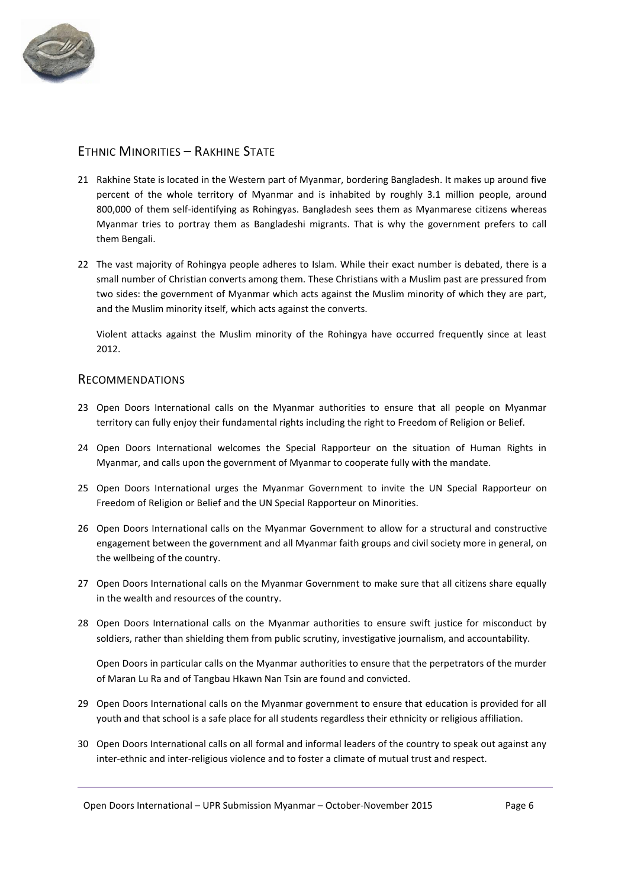

### ETHNIC MINORITIES – RAKHINE STATE

- 21 Rakhine State is located in the Western part of Myanmar, bordering Bangladesh. It makes up around five percent of the whole territory of Myanmar and is inhabited by roughly 3.1 million people, around 800,000 of them self-identifying as Rohingyas. Bangladesh sees them as Myanmarese citizens whereas Myanmar tries to portray them as Bangladeshi migrants. That is why the government prefers to call them Bengali.
- 22 The vast majority of Rohingya people adheres to Islam. While their exact number is debated, there is a small number of Christian converts among them. These Christians with a Muslim past are pressured from two sides: the government of Myanmar which acts against the Muslim minority of which they are part, and the Muslim minority itself, which acts against the converts.

Violent attacks against the Muslim minority of the Rohingya have occurred frequently since at least 2012.

#### RECOMMENDATIONS

- 23 Open Doors International calls on the Myanmar authorities to ensure that all people on Myanmar territory can fully enjoy their fundamental rights including the right to Freedom of Religion or Belief.
- 24 Open Doors International welcomes the Special Rapporteur on the situation of Human Rights in Myanmar, and calls upon the government of Myanmar to cooperate fully with the mandate.
- 25 Open Doors International urges the Myanmar Government to invite the UN Special Rapporteur on Freedom of Religion or Belief and the UN Special Rapporteur on Minorities.
- 26 Open Doors International calls on the Myanmar Government to allow for a structural and constructive engagement between the government and all Myanmar faith groups and civil society more in general, on the wellbeing of the country.
- 27 Open Doors International calls on the Myanmar Government to make sure that all citizens share equally in the wealth and resources of the country.
- 28 Open Doors International calls on the Myanmar authorities to ensure swift justice for misconduct by soldiers, rather than shielding them from public scrutiny, investigative journalism, and accountability.

Open Doors in particular calls on the Myanmar authorities to ensure that the perpetrators of the murder of Maran Lu Ra and of Tangbau Hkawn Nan Tsin are found and convicted.

- 29 Open Doors International calls on the Myanmar government to ensure that education is provided for all youth and that school is a safe place for all students regardless their ethnicity or religious affiliation.
- 30 Open Doors International calls on all formal and informal leaders of the country to speak out against any inter-ethnic and inter-religious violence and to foster a climate of mutual trust and respect.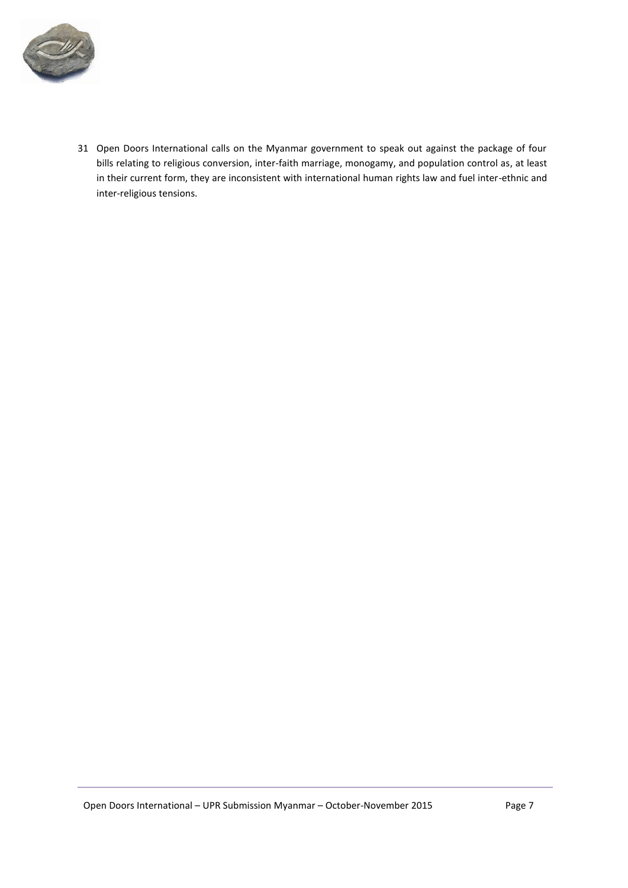

31 Open Doors International calls on the Myanmar government to speak out against the package of four bills relating to religious conversion, inter-faith marriage, monogamy, and population control as, at least in their current form, they are inconsistent with international human rights law and fuel inter-ethnic and inter-religious tensions.